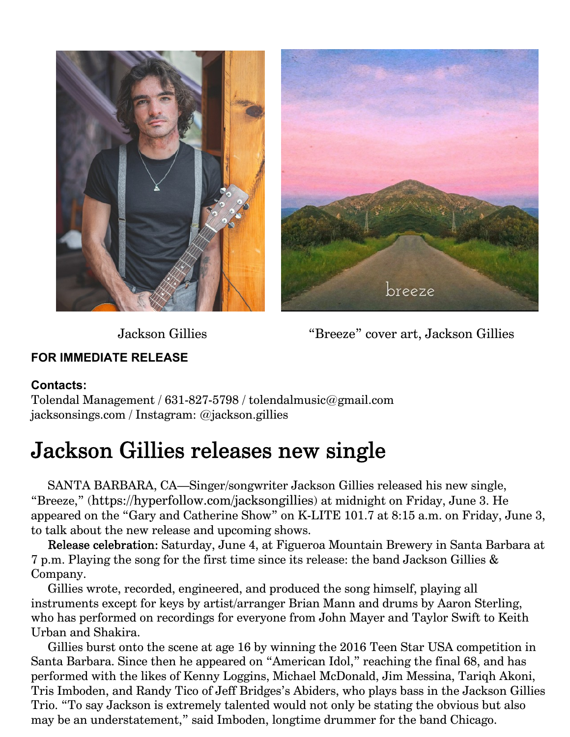



Jackson Gillies "Breeze" cover art, Jackson Gillies

## **FOR IMMEDIATE RELEASE**

## **Contacts:**

Tolendal Management / 631-827-5798 / tolendalmusic@gmail.com jacksonsings.com / Instagram: @jackson.gillies

## Jackson Gillies releases new single

SANTA BARBARA, CA—Singer/songwriter Jackson Gillies released his new single, "Breeze," (https://hyperfollow.com/jacksongillies) at midnight on Friday, June 3. He appeared on the "Gary and Catherine Show" on K-LITE 101.7 at 8:15 a.m. on Friday, June 3, to talk about the new release and upcoming shows.

Release celebration: Saturday, June 4, at Figueroa Mountain Brewery in Santa Barbara at 7 p.m. Playing the song for the first time since its release: the band Jackson Gillies & Company.

Gillies wrote, recorded, engineered, and produced the song himself, playing all instruments except for keys by artist/arranger Brian Mann and drums by Aaron Sterling, who has performed on recordings for everyone from John Mayer and Taylor Swift to Keith Urban and Shakira.

Gillies burst onto the scene at age 16 by winning the 2016 Teen Star USA competition in Santa Barbara. Since then he appeared on "American Idol," reaching the final 68, and has performed with the likes of Kenny Loggins, Michael McDonald, Jim Messina, Tariqh Akoni, Tris Imboden, and Randy Tico of Jeff Bridges's Abiders, who plays bass in the Jackson Gillies Trio. "To say Jackson is extremely talented would not only be stating the obvious but also may be an understatement," said Imboden, longtime drummer for the band Chicago.